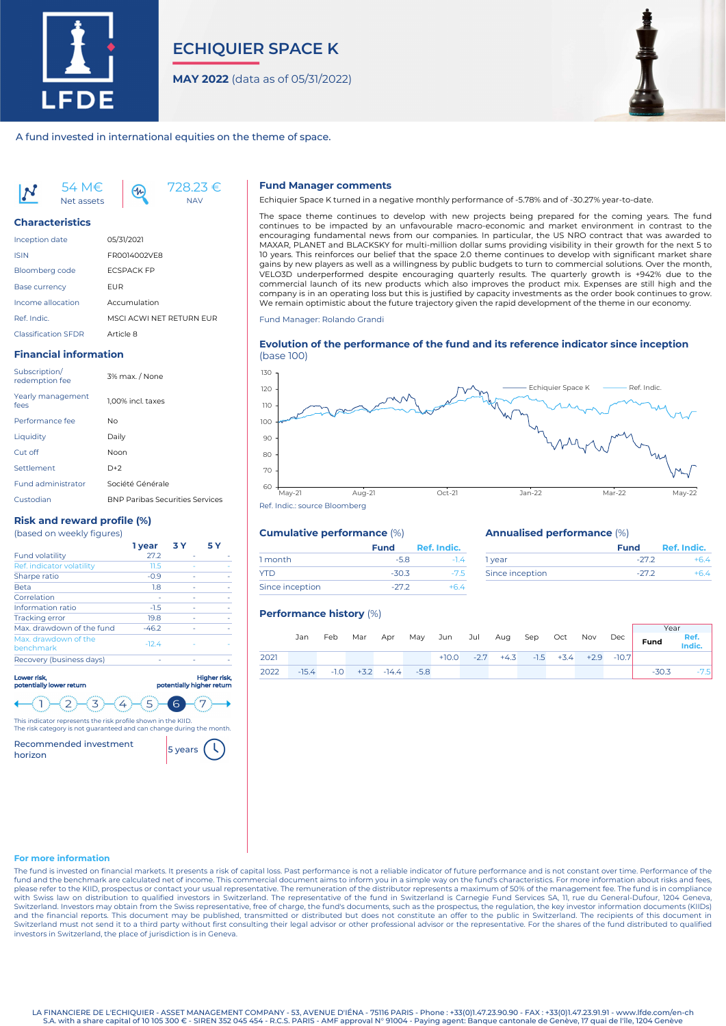

# **ECHIQUIER SPACE K**

**MAY 2022** (data as of 05/31/2022)



#### A fund invested in international equities on the theme of space.

54 M€ Net assets



#### **Characteristics**

| <b>Inception date</b>      | 05/31/2021               |
|----------------------------|--------------------------|
| <b>ISIN</b>                | FR0014002VF8             |
| <b>Bloomberg code</b>      | <b>FCSPACK FP</b>        |
| <b>Base currency</b>       | FUR                      |
| Income allocation          | Accumulation             |
| Ref. Indic.                | MSCI ACWI NFT RFTURN FUR |
| <b>Classification SFDR</b> | Article 8                |

 $4<sub>n</sub>$ 

### **Financial information**

| Subscription/<br>redemption fee | 3% max. / None                         |
|---------------------------------|----------------------------------------|
| Yearly management<br>fees       | 1.00% incl. taxes                      |
| Performance fee                 | Nο                                     |
| Liquidity                       | Daily                                  |
| Cut off                         | Noon                                   |
| Settlement                      | $D+2$                                  |
| <b>Fund administrator</b>       | Société Générale                       |
| Custodian                       | <b>BNP Paribas Securities Services</b> |

## **Risk and reward profile (%)**

| <b>Fund volatility</b>            | 27.2    |  |
|-----------------------------------|---------|--|
| Ref. indicator volatility         | 11.5    |  |
| Sharpe ratio                      | $-0.9$  |  |
| <b>Beta</b>                       | 1.8     |  |
| Correlation                       |         |  |
| Information ratio                 | $-1.5$  |  |
| <b>Tracking error</b>             | 19.8    |  |
| Max, drawdown of the fund         | $-46.2$ |  |
| Max. drawdown of the<br>benchmark | $-12.4$ |  |
| Recovery (business days)          |         |  |
|                                   |         |  |



The risk category is not guaranteed and can change during the month. Recommended investment

This indicator represents the risk profile shown in the KIID.

Recommended investment 5 years

#### **Fund Manager comments**

Echiquier Space K turned in a negative monthly performance of -5.78% and of -30.27% year-to-date.

The space theme continues to develop with new projects being prepared for the coming years. The fund continues to be impacted by an unfavourable macro-economic and market environment in contrast to the encouraging fundamental news from our companies. In particular, the US NRO contract that was awarded to MAXAR, PLANET and BLACKSKY for multi-million dollar sums providing visibility in their growth for the next 5 to 10 years. This reinforces our belief that the space 2.0 theme continues to develop with significant market share gains by new players as well as a willingness by public budgets to turn to commercial solutions. Over the month, VELO3D underperformed despite encouraging quarterly results. The quarterly growth is +942% due to the commercial launch of its new products which also improves the product mix. Expenses are still high and the company is in an operating loss but this is justified by capacity investments as the order book continues to grow. We remain optimistic about the future trajectory given the rapid development of the theme in our economy.

Fund Manager: Rolando Grandi

#### **Evolution of the performance of the fund and its reference indicator since inception** (base 100)



## **Cumulative performance** (%)

|                 | <b>Fund</b> | Ref. Indic. |  |
|-----------------|-------------|-------------|--|
| 1 month         | $-5.8$      | $-14$       |  |
| <b>YTD</b>      | $-30.3$     | $-75$       |  |
| Since inception | $-272$      | +64         |  |

#### **Annualised performance** (%)

|                 | <b>Fund</b> | Ref. Indic. |
|-----------------|-------------|-------------|
| 1 year          | $-272$      |             |
| Since inception | $-272$      |             |

#### **Performance history** (%)

|                                 |     |  |  |  |                                                    |  |                                                       | Year   |
|---------------------------------|-----|--|--|--|----------------------------------------------------|--|-------------------------------------------------------|--------|
|                                 | Jan |  |  |  |                                                    |  | Feb Mar Apr May Jun Jul Aug Sep Oct Nov Dec Fund Ref. |        |
| 2021                            |     |  |  |  | $+10.0$ $-2.7$ $+4.3$ $-1.5$ $+3.4$ $+2.9$ $-10.7$ |  |                                                       |        |
| 2022 -15.4 -1.0 +3.2 -14.4 -5.8 |     |  |  |  |                                                    |  | $-30.3$                                               | $-7.5$ |

#### **For more information**

The fund is invested on financial markets. It presents a risk of capital loss. Past performance is not a reliable indicator of future performance and is not constant over time. Performance of the fund and the benchmark are calculated net of income. This commercial document aims to inform you in a simple way on the fund's characteristics. For more information about risks and fees, please refer to the KIID, prospectus or contact your usual representative. The remuneration of the distributor represents a maximum of 50% of the management fee. The fund is in compliance with Swiss law on distribution to qualified investors in Switzerland. The representative of the fund in Switzerland is Carnegie Fund Services SA, 11, rue du General-Dufour, 1204 Geneva,<br>Switzerland. Investors may obtain fr Switzerland must not send it to a third party without first consulting their legal advisor or other professional advisor or the representative. For the shares of the fund distributed to qualified investors in Switzerland, the place of jurisdiction is in Geneva.

LA FINANCIERE DE L'ECHIQUIER - ASSET MANAGEMENT COMPANY - 53, AVENUE D'IÉNA - 75116 PARIS - Phone : +33(0)1.47.23.90.90 - FAX : +33(0)1.47.23.91.91 - www.lfde.com/en-ch S.A. with a share capital of 10 105 300 € - SIREN 352 045 454 - R.C.S. PARIS - AMF approval N° 91004 - Paying agent: Banque cantonale de Genève, 17 quai de l'île, 1204 Genève